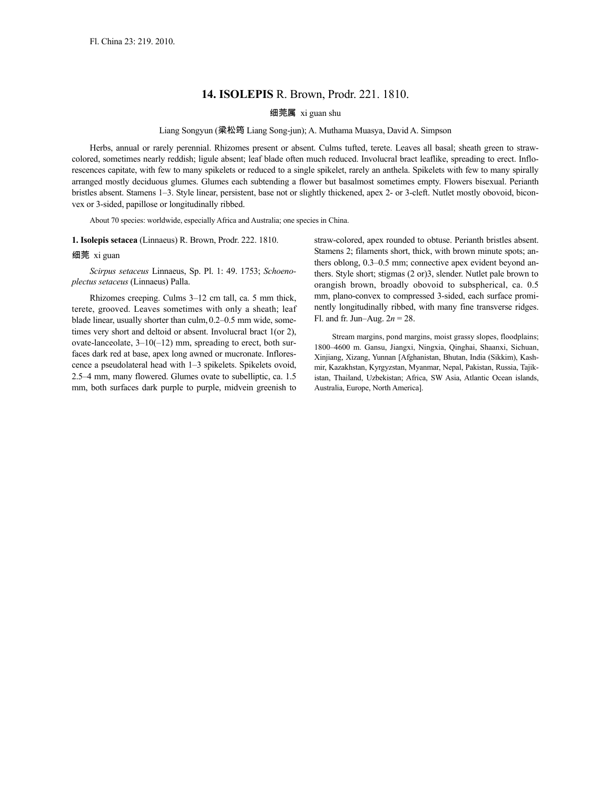# **14. ISOLEPIS** R. Brown, Prodr. 221. 1810.

## 细莞属 xi guan shu

# Liang Songyun (梁松筠 Liang Song-jun); A. Muthama Muasya, David A. Simpson

Herbs, annual or rarely perennial. Rhizomes present or absent. Culms tufted, terete. Leaves all basal; sheath green to strawcolored, sometimes nearly reddish; ligule absent; leaf blade often much reduced. Involucral bract leaflike, spreading to erect. Inflorescences capitate, with few to many spikelets or reduced to a single spikelet, rarely an anthela. Spikelets with few to many spirally arranged mostly deciduous glumes. Glumes each subtending a flower but basalmost sometimes empty. Flowers bisexual. Perianth bristles absent. Stamens 1–3. Style linear, persistent, base not or slightly thickened, apex 2- or 3-cleft. Nutlet mostly obovoid, biconvex or 3-sided, papillose or longitudinally ribbed.

About 70 species: worldwide, especially Africa and Australia; one species in China.

## **1. Isolepis setacea** (Linnaeus) R. Brown, Prodr. 222. 1810.

#### 细莞 xi guan

*Scirpus setaceus* Linnaeus, Sp. Pl. 1: 49. 1753; *Schoenoplectus setaceus* (Linnaeus) Palla.

Rhizomes creeping. Culms 3–12 cm tall, ca. 5 mm thick, terete, grooved. Leaves sometimes with only a sheath; leaf blade linear, usually shorter than culm, 0.2–0.5 mm wide, sometimes very short and deltoid or absent. Involucral bract 1(or 2), ovate-lanceolate,  $3-10(-12)$  mm, spreading to erect, both surfaces dark red at base, apex long awned or mucronate. Inflorescence a pseudolateral head with 1–3 spikelets. Spikelets ovoid, 2.5–4 mm, many flowered. Glumes ovate to subelliptic, ca. 1.5 mm, both surfaces dark purple to purple, midvein greenish to

straw-colored, apex rounded to obtuse. Perianth bristles absent. Stamens 2; filaments short, thick, with brown minute spots; anthers oblong, 0.3–0.5 mm; connective apex evident beyond anthers. Style short; stigmas (2 or)3, slender. Nutlet pale brown to orangish brown, broadly obovoid to subspherical, ca. 0.5 mm, plano-convex to compressed 3-sided, each surface prominently longitudinally ribbed, with many fine transverse ridges. Fl. and fr. Jun–Aug. 2*n* = 28.

Stream margins, pond margins, moist grassy slopes, floodplains; 1800–4600 m. Gansu, Jiangxi, Ningxia, Qinghai, Shaanxi, Sichuan, Xinjiang, Xizang, Yunnan [Afghanistan, Bhutan, India (Sikkim), Kashmir, Kazakhstan, Kyrgyzstan, Myanmar, Nepal, Pakistan, Russia, Tajikistan, Thailand, Uzbekistan; Africa, SW Asia, Atlantic Ocean islands, Australia, Europe, North America].